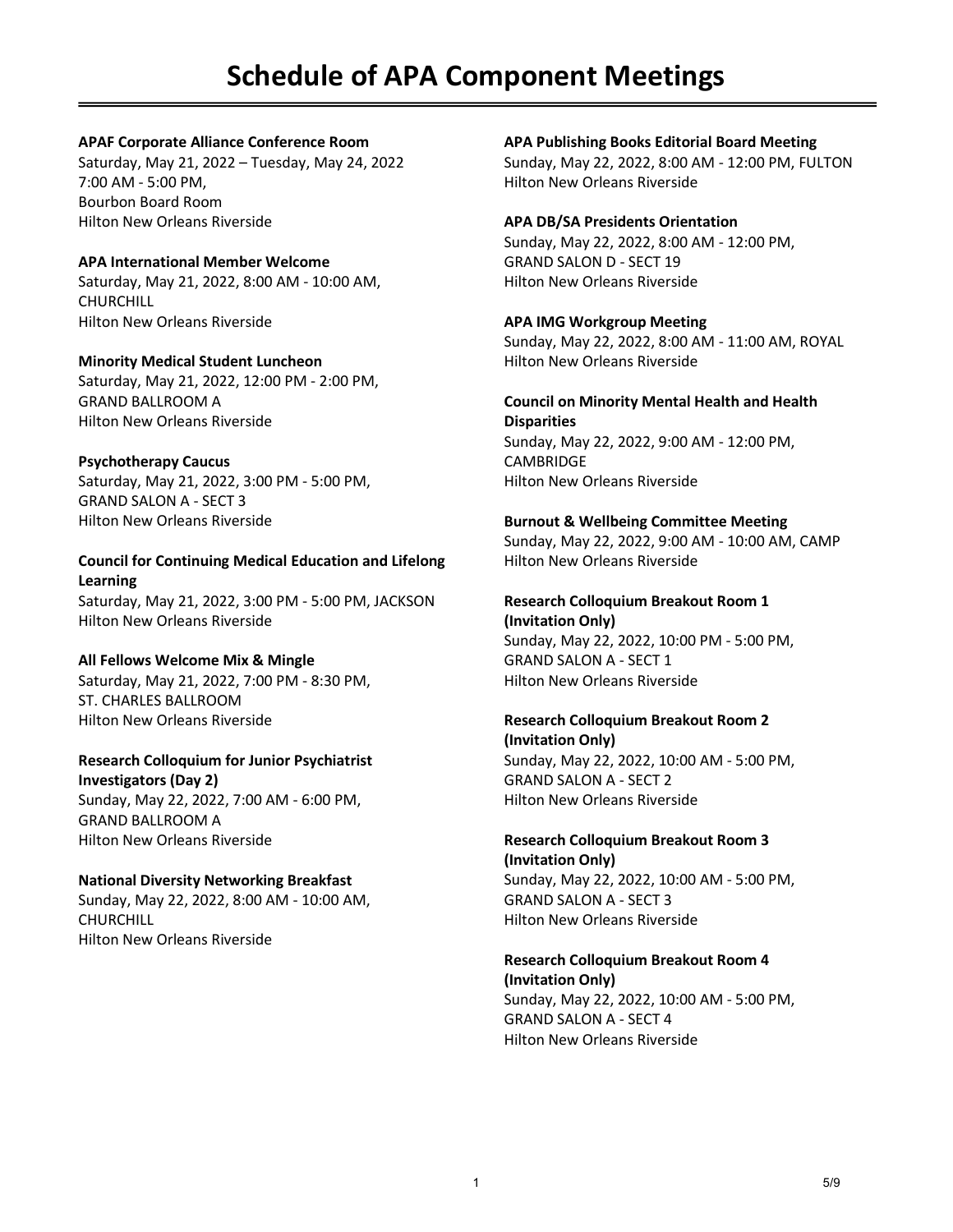#### **APAF Corporate Alliance Conference Room**

Saturday, May 21, 2022 – Tuesday, May 24, 2022 7:00 AM - 5:00 PM, Bourbon Board Room Hilton New Orleans Riverside

## **APA International Member Welcome**

Saturday, May 21, 2022, 8:00 AM - 10:00 AM, **CHURCHILL** Hilton New Orleans Riverside

**Minority Medical Student Luncheon** Saturday, May 21, 2022, 12:00 PM - 2:00 PM, GRAND BALLROOM A Hilton New Orleans Riverside

## **Psychotherapy Caucus**

Saturday, May 21, 2022, 3:00 PM - 5:00 PM, GRAND SALON A - SECT 3 Hilton New Orleans Riverside

**Council for Continuing Medical Education and Lifelong Learning** Saturday, May 21, 2022, 3:00 PM - 5:00 PM, JACKSON Hilton New Orleans Riverside

## **All Fellows Welcome Mix & Mingle**

Saturday, May 21, 2022, 7:00 PM - 8:30 PM, ST. CHARLES BALLROOM Hilton New Orleans Riverside

## **Research Colloquium for Junior Psychiatrist**

**Investigators (Day 2)** Sunday, May 22, 2022, 7:00 AM - 6:00 PM, GRAND BALLROOM A Hilton New Orleans Riverside

## **National Diversity Networking Breakfast**

Sunday, May 22, 2022, 8:00 AM - 10:00 AM, CHURCHILL Hilton New Orleans Riverside

## **APA Publishing Books Editorial Board Meeting**

Sunday, May 22, 2022, 8:00 AM - 12:00 PM, FULTON Hilton New Orleans Riverside

## **APA DB/SA Presidents Orientation**

Sunday, May 22, 2022, 8:00 AM - 12:00 PM, GRAND SALON D - SECT 19 Hilton New Orleans Riverside

## **APA IMG Workgroup Meeting**

Sunday, May 22, 2022, 8:00 AM - 11:00 AM, ROYAL Hilton New Orleans Riverside

#### **Council on Minority Mental Health and Health Disparities** Sunday, May 22, 2022, 9:00 AM - 12:00 PM,

**CAMBRIDGE** Hilton New Orleans Riverside

## **Burnout & Wellbeing Committee Meeting**

Sunday, May 22, 2022, 9:00 AM - 10:00 AM, CAMP Hilton New Orleans Riverside

## **Research Colloquium Breakout Room 1**

**(Invitation Only)** Sunday, May 22, 2022, 10:00 PM - 5:00 PM, GRAND SALON A - SECT 1 Hilton New Orleans Riverside

## **Research Colloquium Breakout Room 2 (Invitation Only)**

Sunday, May 22, 2022, 10:00 AM - 5:00 PM, GRAND SALON A - SECT 2 Hilton New Orleans Riverside

## **Research Colloquium Breakout Room 3 (Invitation Only)** Sunday, May 22, 2022, 10:00 AM - 5:00 PM,

GRAND SALON A - SECT 3 Hilton New Orleans Riverside

## **Research Colloquium Breakout Room 4 (Invitation Only)** Sunday, May 22, 2022, 10:00 AM - 5:00 PM,

GRAND SALON A - SECT 4 Hilton New Orleans Riverside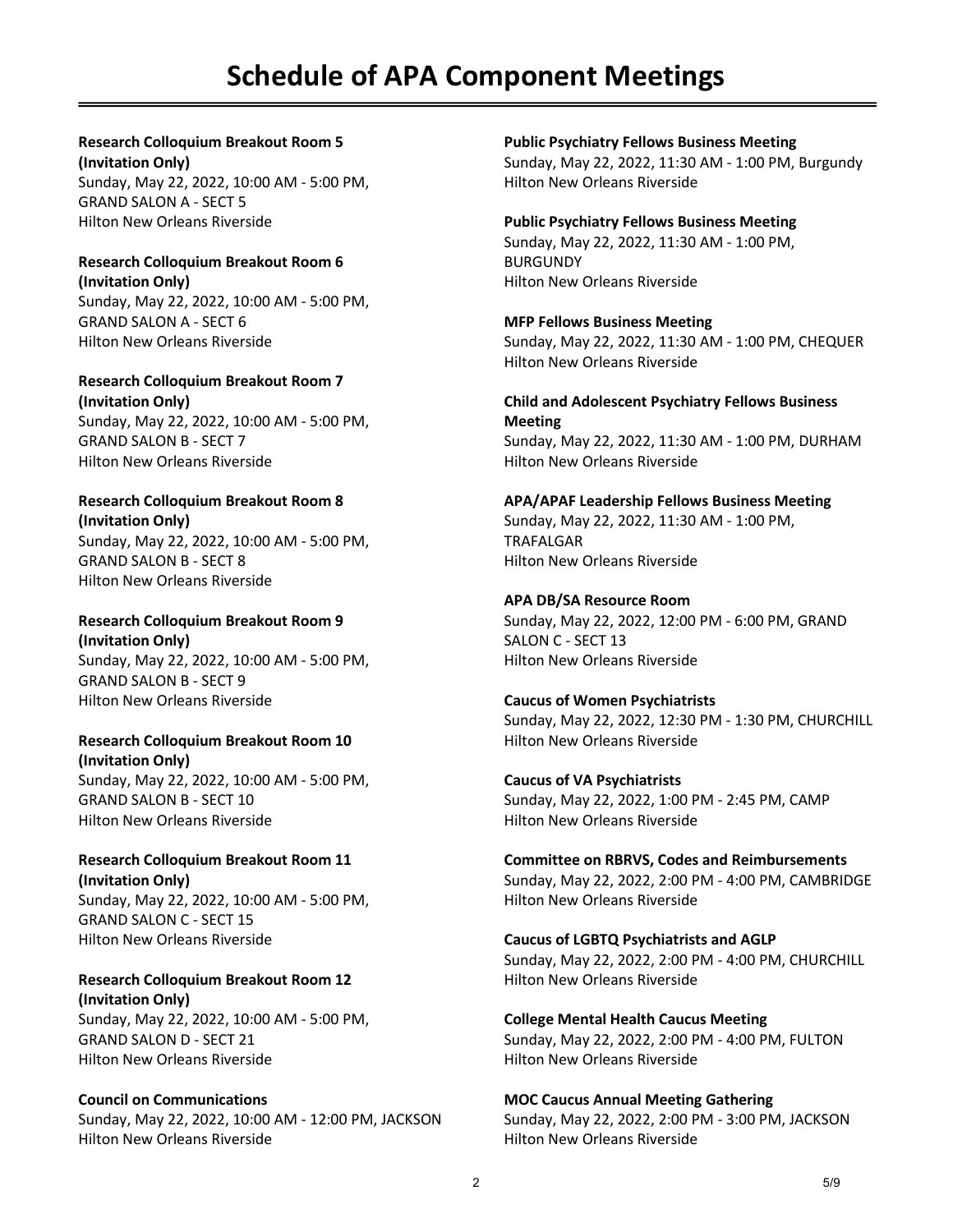# **Schedule of APA Component Meetings**

**Research Colloquium Breakout Room 5 (Invitation Only)** Sunday, May 22, 2022, 10:00 AM - 5:00 PM, GRAND SALON A - SECT 5 Hilton New Orleans Riverside

#### **Research Colloquium Breakout Room 6 (Invitation Only)** Sunday, May 22, 2022, 10:00 AM - 5:00 PM,

GRAND SALON A - SECT 6 Hilton New Orleans Riverside

**Research Colloquium Breakout Room 7 (Invitation Only)** Sunday, May 22, 2022, 10:00 AM - 5:00 PM, GRAND SALON B - SECT 7 Hilton New Orleans Riverside

#### **Research Colloquium Breakout Room 8 (Invitation Only)**

Sunday, May 22, 2022, 10:00 AM - 5:00 PM, GRAND SALON B - SECT 8 Hilton New Orleans Riverside

**Research Colloquium Breakout Room 9 (Invitation Only)** Sunday, May 22, 2022, 10:00 AM - 5:00 PM, GRAND SALON B - SECT 9 Hilton New Orleans Riverside

## **Research Colloquium Breakout Room 10 (Invitation Only)**

Sunday, May 22, 2022, 10:00 AM - 5:00 PM, GRAND SALON B - SECT 10 Hilton New Orleans Riverside

#### **Research Colloquium Breakout Room 11 (Invitation Only)** Sunday, May 22, 2022, 10:00 AM - 5:00 PM, GRAND SALON C - SECT 15 Hilton New Orleans Riverside

**Research Colloquium Breakout Room 12 (Invitation Only)** Sunday, May 22, 2022, 10:00 AM - 5:00 PM, GRAND SALON D - SECT 21 Hilton New Orleans Riverside

## **Council on Communications**

Sunday, May 22, 2022, 10:00 AM - 12:00 PM, JACKSON Hilton New Orleans Riverside

**Public Psychiatry Fellows Business Meeting**

Sunday, May 22, 2022, 11:30 AM - 1:00 PM, Burgundy Hilton New Orleans Riverside

#### **Public Psychiatry Fellows Business Meeting**

Sunday, May 22, 2022, 11:30 AM - 1:00 PM, BURGUNDY Hilton New Orleans Riverside

## **MFP Fellows Business Meeting**

Sunday, May 22, 2022, 11:30 AM - 1:00 PM, CHEQUER Hilton New Orleans Riverside

**Child and Adolescent Psychiatry Fellows Business Meeting** Sunday, May 22, 2022, 11:30 AM - 1:00 PM, DURHAM Hilton New Orleans Riverside

## **APA/APAF Leadership Fellows Business Meeting**

Sunday, May 22, 2022, 11:30 AM - 1:00 PM, TRAFALGAR Hilton New Orleans Riverside

#### **APA DB/SA Resource Room**

Sunday, May 22, 2022, 12:00 PM - 6:00 PM, GRAND SALON C - SECT 13 Hilton New Orleans Riverside

**Caucus of Women Psychiatrists** Sunday, May 22, 2022, 12:30 PM - 1:30 PM, CHURCHILL Hilton New Orleans Riverside

**Caucus of VA Psychiatrists** Sunday, May 22, 2022, 1:00 PM - 2:45 PM, CAMP Hilton New Orleans Riverside

**Committee on RBRVS, Codes and Reimbursements** Sunday, May 22, 2022, 2:00 PM - 4:00 PM, CAMBRIDGE Hilton New Orleans Riverside

#### **Caucus of LGBTQ Psychiatrists and AGLP** Sunday, May 22, 2022, 2:00 PM - 4:00 PM, CHURCHILL

Hilton New Orleans Riverside

**College Mental Health Caucus Meeting** Sunday, May 22, 2022, 2:00 PM - 4:00 PM, FULTON Hilton New Orleans Riverside

## **MOC Caucus Annual Meeting Gathering**

Sunday, May 22, 2022, 2:00 PM - 3:00 PM, JACKSON Hilton New Orleans Riverside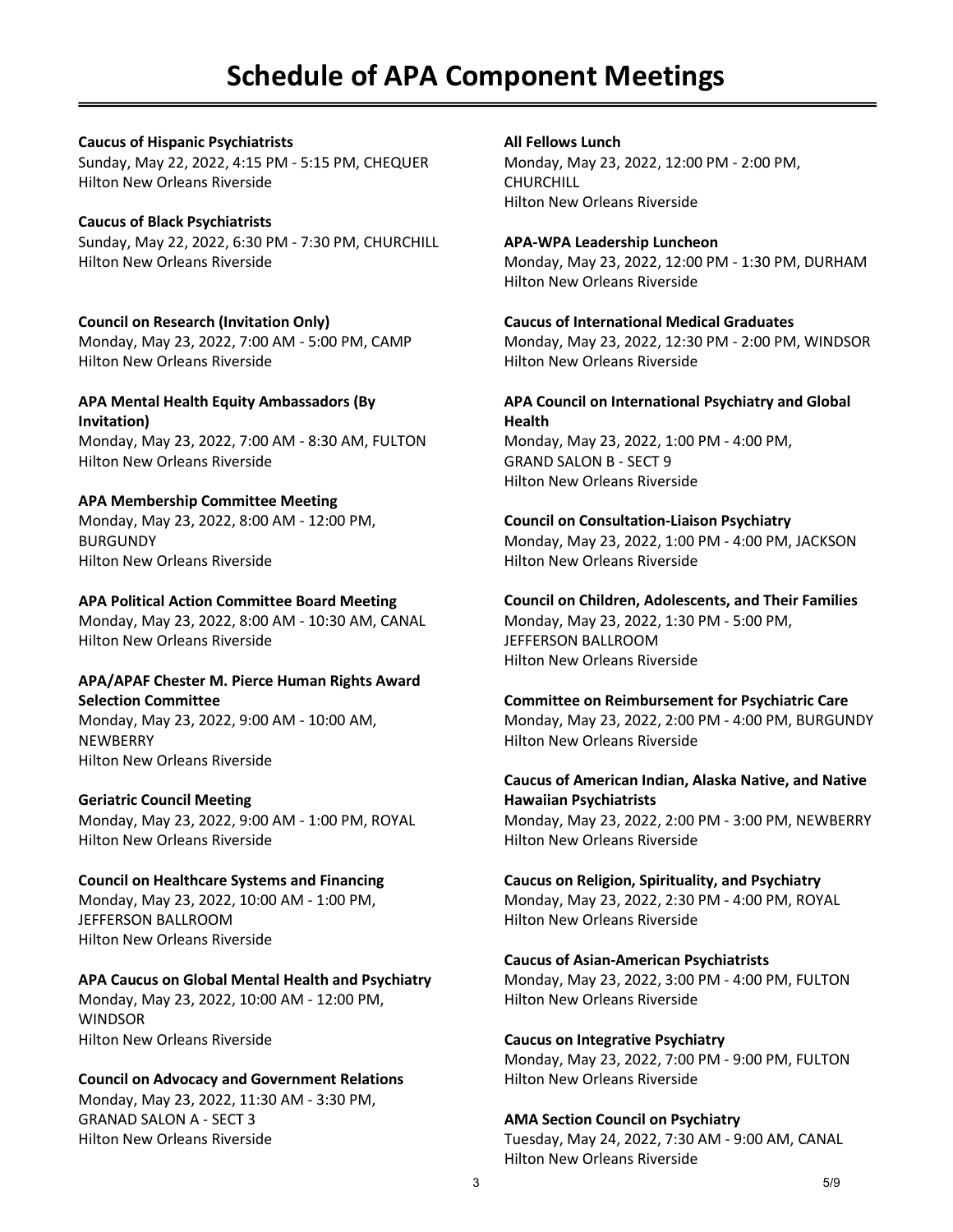# **Schedule of APA Component Meetings**

#### **Caucus of Hispanic Psychiatrists**

Sunday, May 22, 2022, 4:15 PM - 5:15 PM, CHEQUER Hilton New Orleans Riverside

#### **Caucus of Black Psychiatrists**

Sunday, May 22, 2022, 6:30 PM - 7:30 PM, CHURCHILL Hilton New Orleans Riverside

## **Council on Research (Invitation Only)** Monday, May 23, 2022, 7:00 AM - 5:00 PM, CAMP Hilton New Orleans Riverside

**APA Mental Health Equity Ambassadors (By Invitation)** Monday, May 23, 2022, 7:00 AM - 8:30 AM, FULTON Hilton New Orleans Riverside

#### **APA Membership Committee Meeting** Monday, May 23, 2022, 8:00 AM - 12:00 PM, BURGUNDY Hilton New Orleans Riverside

## **APA Political Action Committee Board Meeting**

Monday, May 23, 2022, 8:00 AM - 10:30 AM, CANAL Hilton New Orleans Riverside

#### **APA/APAF Chester M. Pierce Human Rights Award Selection Committee**

Monday, May 23, 2022, 9:00 AM - 10:00 AM, **NEWBERRY** Hilton New Orleans Riverside

## **Geriatric Council Meeting**

Monday, May 23, 2022, 9:00 AM - 1:00 PM, ROYAL Hilton New Orleans Riverside

#### **Council on Healthcare Systems and Financing** Monday, May 23, 2022, 10:00 AM - 1:00 PM, JEFFERSON BALLROOM Hilton New Orleans Riverside

## **APA Caucus on Global Mental Health and Psychiatry** Monday, May 23, 2022, 10:00 AM - 12:00 PM,

**WINDSOR** Hilton New Orleans Riverside

## **Council on Advocacy and Government Relations**

Monday, May 23, 2022, 11:30 AM - 3:30 PM, GRANAD SALON A - SECT 3 Hilton New Orleans Riverside

#### **All Fellows Lunch**

Monday, May 23, 2022, 12:00 PM - 2:00 PM, **CHURCHILL** Hilton New Orleans Riverside

#### **APA-WPA Leadership Luncheon**

Monday, May 23, 2022, 12:00 PM - 1:30 PM, DURHAM Hilton New Orleans Riverside

#### **Caucus of International Medical Graduates**

Monday, May 23, 2022, 12:30 PM - 2:00 PM, WINDSOR Hilton New Orleans Riverside

#### **APA Council on International Psychiatry and Global Health**

Monday, May 23, 2022, 1:00 PM - 4:00 PM, GRAND SALON B - SECT 9 Hilton New Orleans Riverside

#### **Council on Consultation-Liaison Psychiatry**

Monday, May 23, 2022, 1:00 PM - 4:00 PM, JACKSON Hilton New Orleans Riverside

## **Council on Children, Adolescents, and Their Families**

Monday, May 23, 2022, 1:30 PM - 5:00 PM, JEFFERSON BALLROOM Hilton New Orleans Riverside

## **Committee on Reimbursement for Psychiatric Care**

Monday, May 23, 2022, 2:00 PM - 4:00 PM, BURGUNDY Hilton New Orleans Riverside

#### **Caucus of American Indian, Alaska Native, and Native Hawaiian Psychiatrists**

Monday, May 23, 2022, 2:00 PM - 3:00 PM, NEWBERRY Hilton New Orleans Riverside

#### **Caucus on Religion, Spirituality, and Psychiatry**

Monday, May 23, 2022, 2:30 PM - 4:00 PM, ROYAL Hilton New Orleans Riverside

#### **Caucus of Asian-American Psychiatrists**

Monday, May 23, 2022, 3:00 PM - 4:00 PM, FULTON Hilton New Orleans Riverside

#### **Caucus on Integrative Psychiatry**

Monday, May 23, 2022, 7:00 PM - 9:00 PM, FULTON Hilton New Orleans Riverside

#### **AMA Section Council on Psychiatry**

Tuesday, May 24, 2022, 7:30 AM - 9:00 AM, CANAL Hilton New Orleans Riverside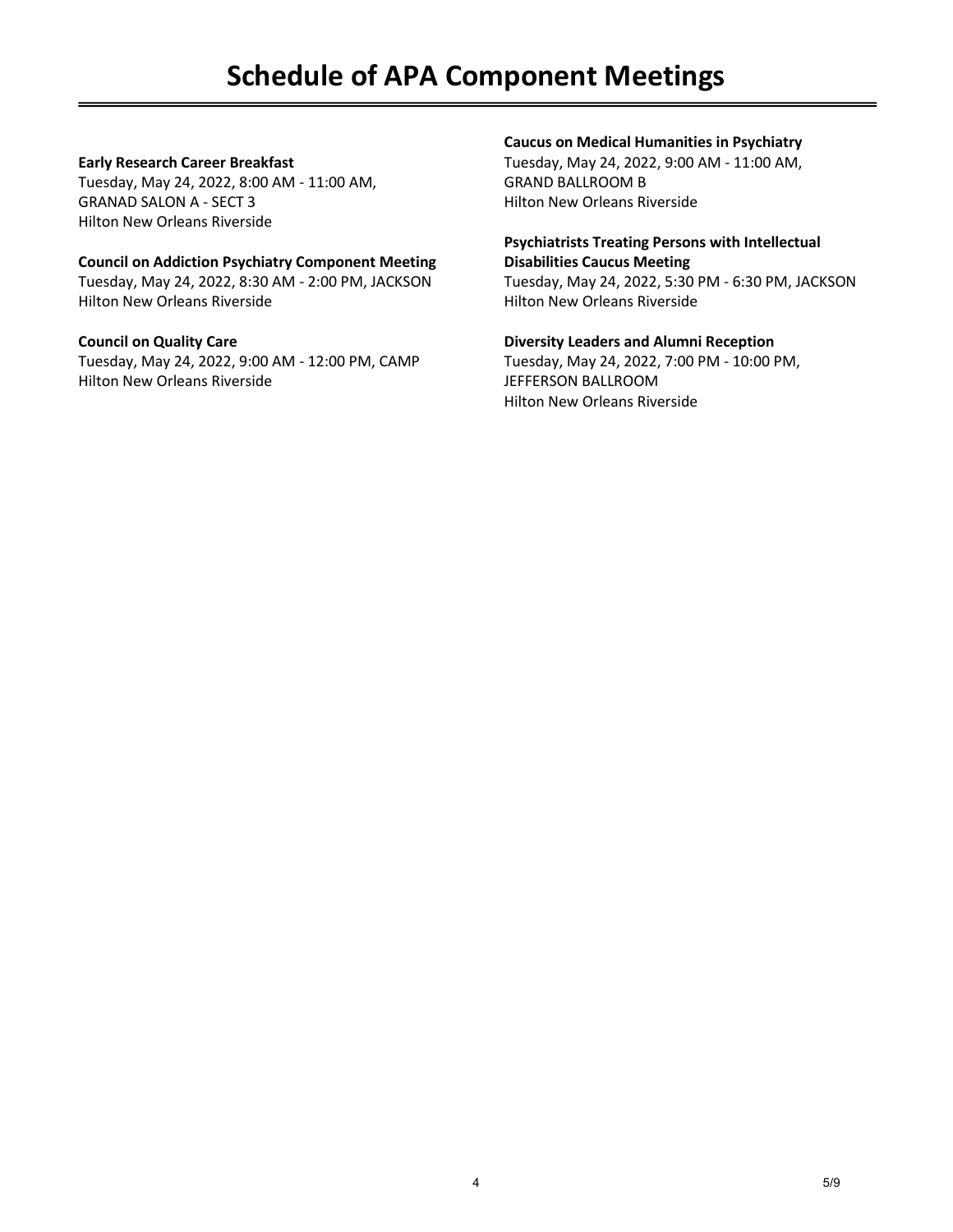# **Schedule of APA Component Meetings**

## **Early Research Career Breakfast**

Tuesday, May 24, 2022, 8:00 AM - 11:00 AM, GRANAD SALON A - SECT 3 Hilton New Orleans Riverside

## **Council on Addiction Psychiatry Component Meeting**

Tuesday, May 24, 2022, 8:30 AM - 2:00 PM, JACKSON Hilton New Orleans Riverside

#### **Council on Quality Care**

Tuesday, May 24, 2022, 9:00 AM - 12:00 PM, CAMP Hilton New Orleans Riverside

## **Caucus on Medical Humanities in Psychiatry**

Tuesday, May 24, 2022, 9:00 AM - 11:00 AM, GRAND BALLROOM B Hilton New Orleans Riverside

#### **Psychiatrists Treating Persons with Intellectual Disabilities Caucus Meeting**

Tuesday, May 24, 2022, 5:30 PM - 6:30 PM, JACKSON Hilton New Orleans Riverside

**Diversity Leaders and Alumni Reception** Tuesday, May 24, 2022, 7:00 PM - 10:00 PM, JEFFERSON BALLROOM Hilton New Orleans Riverside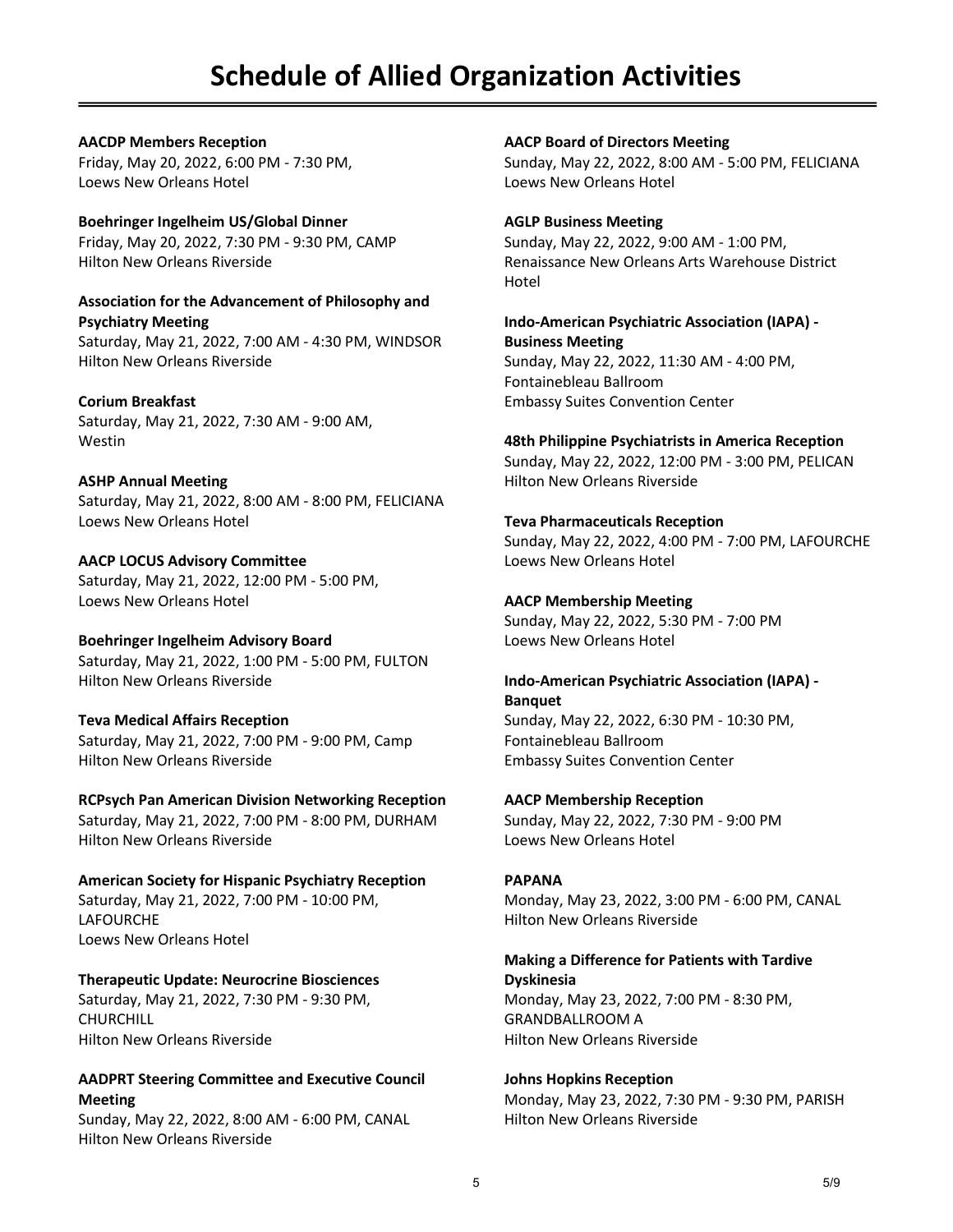# **Schedule of Allied Organization Activities**

**AACDP Members Reception** Friday, May 20, 2022, 6:00 PM - 7:30 PM, Loews New Orleans Hotel

**Boehringer Ingelheim US/Global Dinner** Friday, May 20, 2022, 7:30 PM - 9:30 PM, CAMP Hilton New Orleans Riverside

**Association for the Advancement of Philosophy and Psychiatry Meeting** Saturday, May 21, 2022, 7:00 AM - 4:30 PM, WINDSOR Hilton New Orleans Riverside

**Corium Breakfast** Saturday, May 21, 2022, 7:30 AM - 9:00 AM, Westin

**ASHP Annual Meeting** Saturday, May 21, 2022, 8:00 AM - 8:00 PM, FELICIANA Loews New Orleans Hotel

**AACP LOCUS Advisory Committee** Saturday, May 21, 2022, 12:00 PM - 5:00 PM, Loews New Orleans Hotel

**Boehringer Ingelheim Advisory Board** Saturday, May 21, 2022, 1:00 PM - 5:00 PM, FULTON Hilton New Orleans Riverside

**Teva Medical Affairs Reception** Saturday, May 21, 2022, 7:00 PM - 9:00 PM, Camp Hilton New Orleans Riverside

**RCPsych Pan American Division Networking Reception** Saturday, May 21, 2022, 7:00 PM - 8:00 PM, DURHAM Hilton New Orleans Riverside

**American Society for Hispanic Psychiatry Reception** Saturday, May 21, 2022, 7:00 PM - 10:00 PM, LAFOURCHE Loews New Orleans Hotel

**Therapeutic Update: Neurocrine Biosciences** Saturday, May 21, 2022, 7:30 PM - 9:30 PM, **CHURCHILL** Hilton New Orleans Riverside

## **AADPRT Steering Committee and Executive Council Meeting**

Sunday, May 22, 2022, 8:00 AM - 6:00 PM, CANAL Hilton New Orleans Riverside

**AACP Board of Directors Meeting**

Sunday, May 22, 2022, 8:00 AM - 5:00 PM, FELICIANA Loews New Orleans Hotel

**AGLP Business Meeting**

Sunday, May 22, 2022, 9:00 AM - 1:00 PM, Renaissance New Orleans Arts Warehouse District Hotel

**Indo-American Psychiatric Association (IAPA) - Business Meeting**

Sunday, May 22, 2022, 11:30 AM - 4:00 PM, Fontainebleau Ballroom Embassy Suites Convention Center

**48th Philippine Psychiatrists in America Reception**

Sunday, May 22, 2022, 12:00 PM - 3:00 PM, PELICAN Hilton New Orleans Riverside

## **Teva Pharmaceuticals Reception**

Sunday, May 22, 2022, 4:00 PM - 7:00 PM, LAFOURCHE Loews New Orleans Hotel

## **AACP Membership Meeting**

Sunday, May 22, 2022, 5:30 PM - 7:00 PM Loews New Orleans Hotel

## **Indo-American Psychiatric Association (IAPA) - Banquet**

Sunday, May 22, 2022, 6:30 PM - 10:30 PM, Fontainebleau Ballroom Embassy Suites Convention Center

**AACP Membership Reception**

Sunday, May 22, 2022, 7:30 PM - 9:00 PM Loews New Orleans Hotel

## **PAPANA**

Monday, May 23, 2022, 3:00 PM - 6:00 PM, CANAL Hilton New Orleans Riverside

#### **Making a Difference for Patients with Tardive Dyskinesia**

Monday, May 23, 2022, 7:00 PM - 8:30 PM, GRANDBALLROOM A Hilton New Orleans Riverside

**Johns Hopkins Reception** Monday, May 23, 2022, 7:30 PM - 9:30 PM, PARISH Hilton New Orleans Riverside